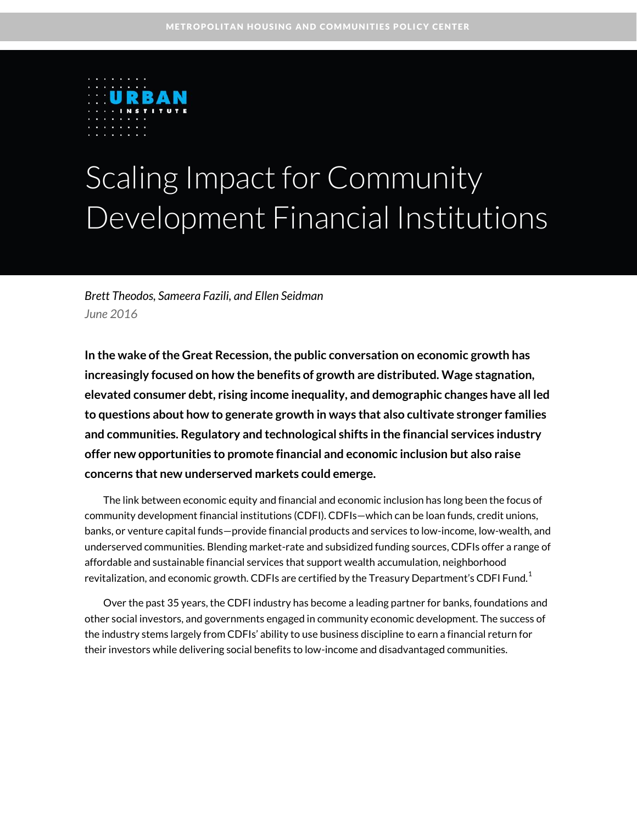

# Scaling Impact for Community Development Financial Institutions

*Brett Theodos, Sameera Fazili, and Ellen Seidman June 2016*

**In the wake of the Great Recession, the public conversation on economic growth has increasingly focused on how the benefits of growth are distributed. Wage stagnation, elevated consumer debt, rising income inequality, and demographic changes have all led to questions about how to generate growth in ways that also cultivate stronger families and communities. Regulatory and technological shifts in the financial services industry offer new opportunities to promote financial and economic inclusion but also raise concerns that new underserved markets could emerge.**

The link between economic equity and financial and economic inclusion has long been the focus of community development financial institutions (CDFI). CDFIs—which can be loan funds, credit unions, banks, or venture capital funds—provide financial products and services to low-income, low-wealth, and underserved communities. Blending market-rate and subsidized funding sources, CDFIs offer a range of affordable and sustainable financial services that support wealth accumulation, neighborhood revitalization, and economic growth. CDFIs are certified by the Treasury Department's CDFI Fund. $^{\rm 1}$  $^{\rm 1}$  $^{\rm 1}$ 

Over the past 35 years, the CDFI industry has become a leading partner for banks, foundations and other social investors, and governments engaged in community economic development. The success of the industry stems largely from CDFIs' ability to use business discipline to earn a financial return for their investors while delivering social benefits to low-income and disadvantaged communities.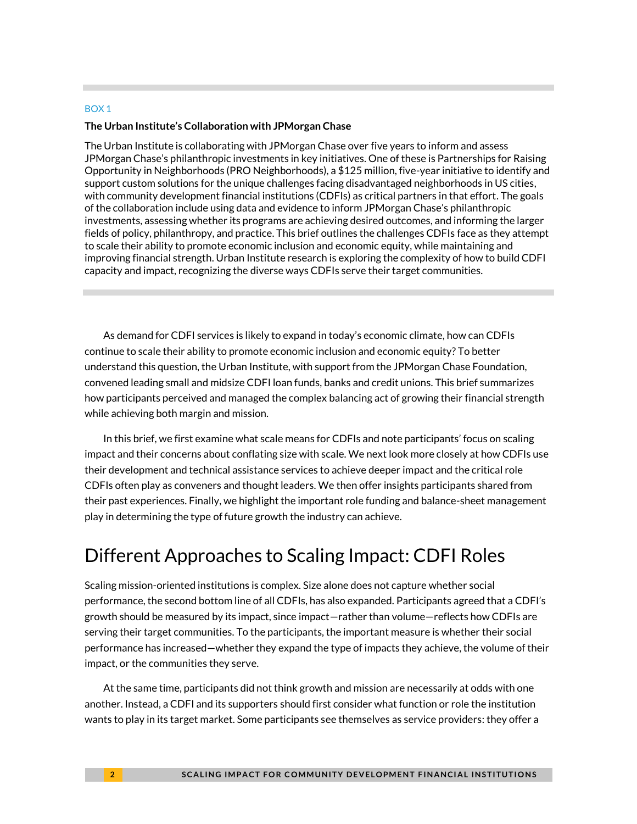#### BOX 1

#### **The Urban Institute's Collaboration with JPMorgan Chase**

The Urban Institute is collaborating with JPMorgan Chase over five years to inform and assess JPMorgan Chase's philanthropic investments in key initiatives. One of these is Partnerships for Raising Opportunity in Neighborhoods (PRO Neighborhoods), a \$125 million, five-year initiative to identify and support custom solutions for the unique challenges facing disadvantaged neighborhoods in US cities, with community development financial institutions (CDFIs) as critical partners in that effort. The goals of the collaboration include using data and evidence to inform JPMorgan Chase's philanthropic investments, assessing whether its programs are achieving desired outcomes, and informing the larger fields of policy, philanthropy, and practice. This brief outlines the challenges CDFIs face as they attempt to scale their ability to promote economic inclusion and economic equity, while maintaining and improving financial strength. Urban Institute research is exploring the complexity of how to build CDFI capacity and impact, recognizing the diverse ways CDFIs serve their target communities.

As demand for CDFI services is likely to expand in today's economic climate, how can CDFIs continue to scale their ability to promote economic inclusion and economic equity? To better understand this question, the Urban Institute, with support from the JPMorgan Chase Foundation, convened leading small and midsize CDFI loan funds, banks and credit unions. This brief summarizes how participants perceived and managed the complex balancing act of growing their financial strength while achieving both margin and mission.

In this brief, we first examine what scale means for CDFIs and note participants' focus on scaling impact and their concerns about conflating size with scale. We next look more closely at how CDFIs use their development and technical assistance services to achieve deeper impact and the critical role CDFIs often play as conveners and thought leaders. We then offer insights participants shared from their past experiences. Finally, we highlight the important role funding and balance-sheet management play in determining the type of future growth the industry can achieve.

#### Different Approaches to Scaling Impact: CDFI Roles

Scaling mission-oriented institutions is complex. Size alone does not capture whether social performance, the second bottom line of all CDFIs, has also expanded. Participants agreed that a CDFI's growth should be measured by its impact, since impact—rather than volume—reflects how CDFIs are serving their target communities. To the participants, the important measure is whether their social performance has increased—whether they expand the type of impacts they achieve, the volume of their impact, or the communities they serve.

At the same time, participants did not think growth and mission are necessarily at odds with one another. Instead, a CDFI and its supporters should first consider what function or role the institution wants to play in its target market. Some participants see themselves as service providers: they offer a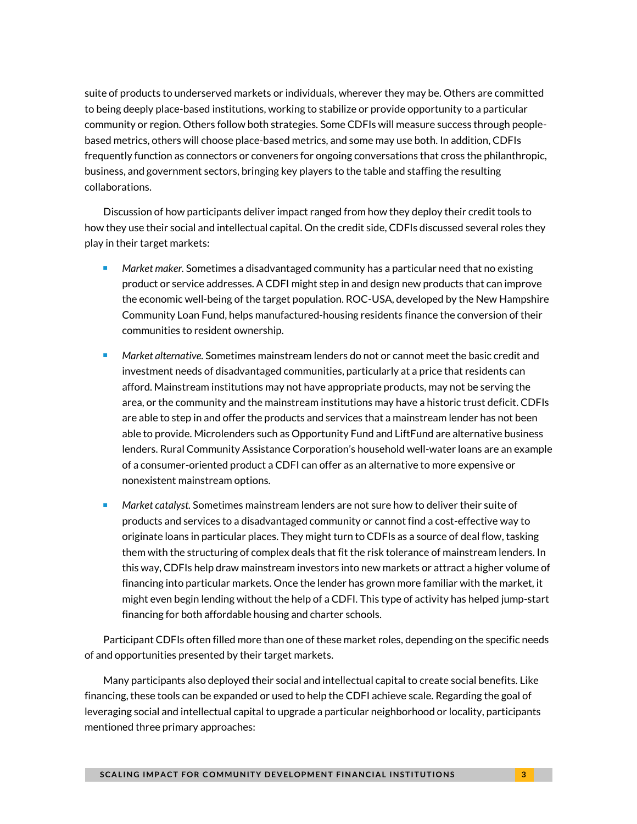suite of products to underserved markets or individuals, wherever they may be. Others are committed to being deeply place-based institutions, working to stabilize or provide opportunity to a particular community or region. Others follow both strategies. Some CDFIs will measure success through peoplebased metrics, others will choose place-based metrics, and some may use both. In addition, CDFIs frequently function as connectors or conveners for ongoing conversations that cross the philanthropic, business, and government sectors, bringing key players to the table and staffing the resulting collaborations.

Discussion of how participants deliver impact ranged from how they deploy their credit tools to how they use their social and intellectual capital. On the credit side, CDFIs discussed several roles they play in their target markets:

- *Market maker.* Sometimes a disadvantaged community has a particular need that no existing product or service addresses. A CDFI might step in and design new products that can improve the economic well-being of the target population. ROC-USA, developed by the New Hampshire Community Loan Fund, helps manufactured-housing residents finance the conversion of their communities to resident ownership.
- *Market alternative.* Sometimes mainstream lenders do not or cannot meet the basic credit and investment needs of disadvantaged communities, particularly at a price that residents can afford. Mainstream institutions may not have appropriate products, may not be serving the area, or the community and the mainstream institutions may have a historic trust deficit. CDFIs are able to step in and offer the products and services that a mainstream lender has not been able to provide. Microlenders such as Opportunity Fund and LiftFund are alternative business lenders. Rural Community Assistance Corporation's household well-water loans are an example of a consumer-oriented product a CDFI can offer as an alternative to more expensive or nonexistent mainstream options.
- *Market catalyst.* Sometimes mainstream lenders are not sure how to deliver their suite of products and services to a disadvantaged community or cannot find a cost-effective way to originate loans in particular places. They might turn to CDFIs as a source of deal flow, tasking them with the structuring of complex deals that fit the risk tolerance of mainstream lenders. In this way, CDFIs help draw mainstream investors into new markets or attract a higher volume of financing into particular markets. Once the lender has grown more familiar with the market, it might even begin lending without the help of a CDFI. This type of activity has helped jump-start financing for both affordable housing and charter schools.

Participant CDFIs often filled more than one of these market roles, depending on the specific needs of and opportunities presented by their target markets.

Many participants also deployed their social and intellectual capital to create social benefits. Like financing, these tools can be expanded or used to help the CDFI achieve scale. Regarding the goal of leveraging social and intellectual capital to upgrade a particular neighborhood or locality, participants mentioned three primary approaches: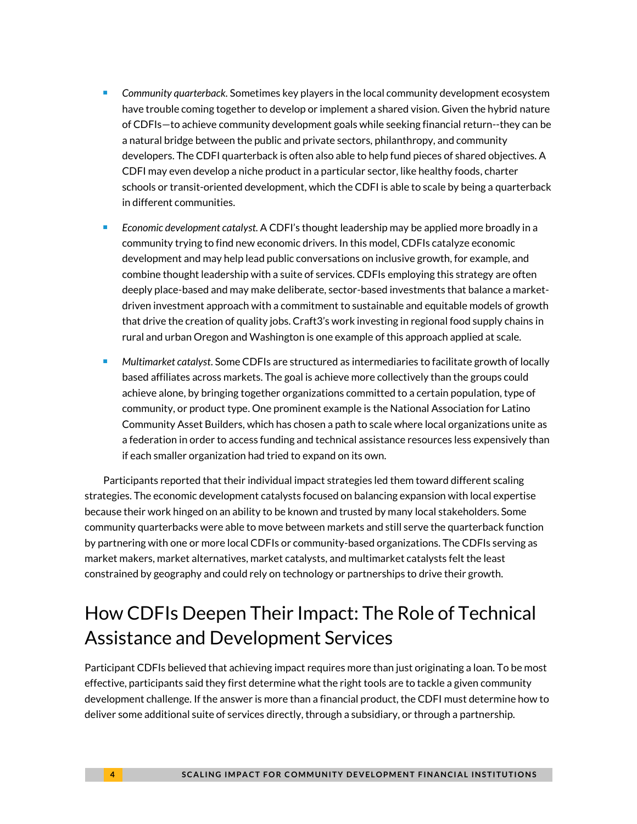- *Community quarterback.* Sometimes key players in the local community development ecosystem have trouble coming together to develop or implement a shared vision. Given the hybrid nature of CDFIs—to achieve community development goals while seeking financial return--they can be a natural bridge between the public and private sectors, philanthropy, and community developers. The CDFI quarterback is often also able to help fund pieces of shared objectives. A CDFI may even develop a niche product in a particular sector, like healthy foods, charter schools or transit-oriented development, which the CDFI is able to scale by being a quarterback in different communities.
- *Economic development catalyst.* A CDFI's thought leadership may be applied more broadly in a community trying to find new economic drivers. In this model, CDFIs catalyze economic development and may help lead public conversations on inclusive growth, for example, and combine thought leadership with a suite of services. CDFIs employing this strategy are often deeply place-based and may make deliberate, sector-based investments that balance a marketdriven investment approach with a commitment to sustainable and equitable models of growth that drive the creation of quality jobs. Craft3's work investing in regional food supply chains in rural and urban Oregon and Washington is one example of this approach applied at scale.
- *Multimarket catalyst*. Some CDFIs are structured as intermediaries to facilitate growth of locally based affiliates across markets. The goal is achieve more collectively than the groups could achieve alone, by bringing together organizations committed to a certain population, type of community, or product type. One prominent example is the National Association for Latino Community Asset Builders, which has chosen a path to scale where local organizations unite as a federation in order to access funding and technical assistance resources less expensively than if each smaller organization had tried to expand on its own.

Participants reported that their individual impact strategies led them toward different scaling strategies. The economic development catalysts focused on balancing expansion with local expertise because their work hinged on an ability to be known and trusted by many local stakeholders. Some community quarterbacks were able to move between markets and still serve the quarterback function by partnering with one or more local CDFIs or community-based organizations. The CDFIs serving as market makers, market alternatives, market catalysts, and multimarket catalysts felt the least constrained by geography and could rely on technology or partnerships to drive their growth.

# How CDFIs Deepen Their Impact: The Role of Technical Assistance and Development Services

Participant CDFIs believed that achieving impact requires more than just originating a loan. To be most effective, participants said they first determine what the right tools are to tackle a given community development challenge. If the answer is more than a financial product, the CDFI must determine how to deliver some additional suite of services directly, through a subsidiary, or through a partnership.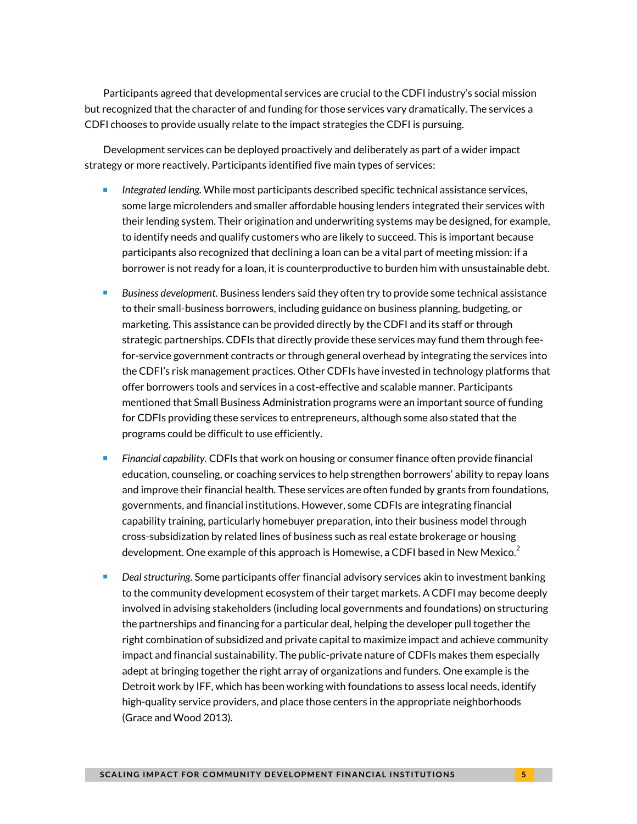Participants agreed that developmental services are crucial to the CDFI industry's social mission but recognized that the character of and funding for those services vary dramatically. The services a CDFI chooses to provide usually relate to the impact strategies the CDFI is pursuing.

Development services can be deployed proactively and deliberately as part of a wider impact strategy or more reactively. Participants identified five main types of services:

- *Integrated lending.* While most participants described specific technical assistance services, some large microlenders and smaller affordable housing lenders integrated their services with their lending system. Their origination and underwriting systems may be designed, for example, to identify needs and qualify customers who are likely to succeed. This is important because participants also recognized that declining a loan can be a vital part of meeting mission: if a borrower is not ready for a loan, it is counterproductive to burden him with unsustainable debt.
- *Business development.* Business lenders said they often try to provide some technical assistance to their small-business borrowers, including guidance on business planning, budgeting, or marketing. This assistance can be provided directly by the CDFI and its staff or through strategic partnerships. CDFIs that directly provide these services may fund them through feefor-service government contracts or through general overhead by integrating the services into the CDFI's risk management practices. Other CDFIs have invested in technology platforms that offer borrowers tools and services in a cost-effective and scalable manner. Participants mentioned that Small Business Administration programs were an important source of funding for CDFIs providing these services to entrepreneurs, although some also stated that the programs could be difficult to use efficiently.
- *Financial capability.* CDFIs that work on housing or consumer finance often provide financial education, counseling, or coaching services to help strengthen borrowers' ability to repay loans and improve their financial health. These services are often funded by grants from foundations, governments, and financial institutions. However, some CDFIs are integrating financial capability training, particularly homebuyer preparation, into their business model through cross-subsidization by related lines of business such as real estate brokerage or housing development. One example of this approach is Homewise, a CDFI based in New Mexico. $^2$  $^2$
- *Deal structuring.* Some participants offer financial advisory services akin to investment banking to the community development ecosystem of their target markets. A CDFI may become deeply involved in advising stakeholders (including local governments and foundations) on structuring the partnerships and financing for a particular deal, helping the developer pull together the right combination of subsidized and private capital to maximize impact and achieve community impact and financial sustainability. The public-private nature of CDFIs makes them especially adept at bringing together the right array of organizations and funders. One example is the Detroit work by IFF, which has been working with foundations to assess local needs, identify high-quality service providers, and place those centers in the appropriate neighborhoods (Grace and Wood 2013).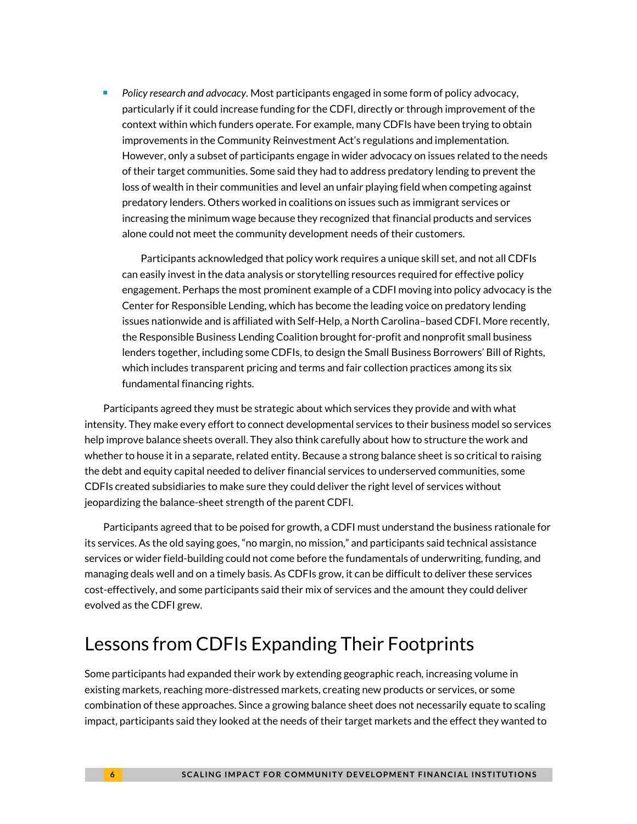*Policy research and advocacy.* Most participants engaged in some form of policy advocacy, particularly if it could increase funding for the CDFI, directly or through improvement of the context within which funders operate. For example, many CDFIs have been trying to obtain improvements in the Community Reinvestment Act's regulations and implementation. However, only a subset of participants engage in wider advocacy on issues related to the needs of their target communities. Some said they had to address predatory lending to prevent the loss of wealth in their communities and level an unfair playing field when competing against predatory lenders. Others worked in coalitions on issues such as immigrant services or increasing the minimum wage because they recognized that financial products and services alone could not meet the community development needs of their customers.

Participants acknowledged that policy work requires a unique skill set, and not all CDFIs can easily invest in the data analysis or storytelling resources required for effective policy engagement. Perhaps the most prominent example of a CDFI moving into policy advocacy is the Center for Responsible Lending, which has become the leading voice on predatory lending issues nationwide and is affiliated with Self-Help, a North Carolina–based CDFI. More recently, the Responsible Business Lending Coalition brought for-profit and nonprofit small business lenders together, including some CDFIs, to design the Small Business Borrowers' Bill of Rights, which includes transparent pricing and terms and fair collection practices among its six fundamental financing rights.

Participants agreed they must be strategic about which services they provide and with what intensity. They make every effort to connect developmental services to their business model so services help improve balance sheets overall. They also think carefully about how to structure the work and whether to house it in a separate, related entity. Because a strong balance sheet is so critical to raising the debt and equity capital needed to deliver financial services to underserved communities, some CDFIs created subsidiaries to make sure they could deliver the right level of services without jeopardizing the balance-sheet strength of the parent CDFI.

Participants agreed that to be poised for growth, a CDFI must understand the business rationale for its services. As the old saying goes, "no margin, no mission," and participants said technical assistance services or wider field-building could not come before the fundamentals of underwriting, funding, and managing deals well and on a timely basis. As CDFIs grow, it can be difficult to deliver these services cost-effectively, and some participants said their mix of services and the amount they could deliver evolved as the CDFI grew.

#### Lessons from CDFIs Expanding Their Footprints

Some participants had expanded their work by extending geographic reach, increasing volume in existing markets, reaching more-distressed markets, creating new products or services, or some combination of these approaches. Since a growing balance sheet does not necessarily equate to scaling impact, participants said they looked at the needs of their target markets and the effect they wanted to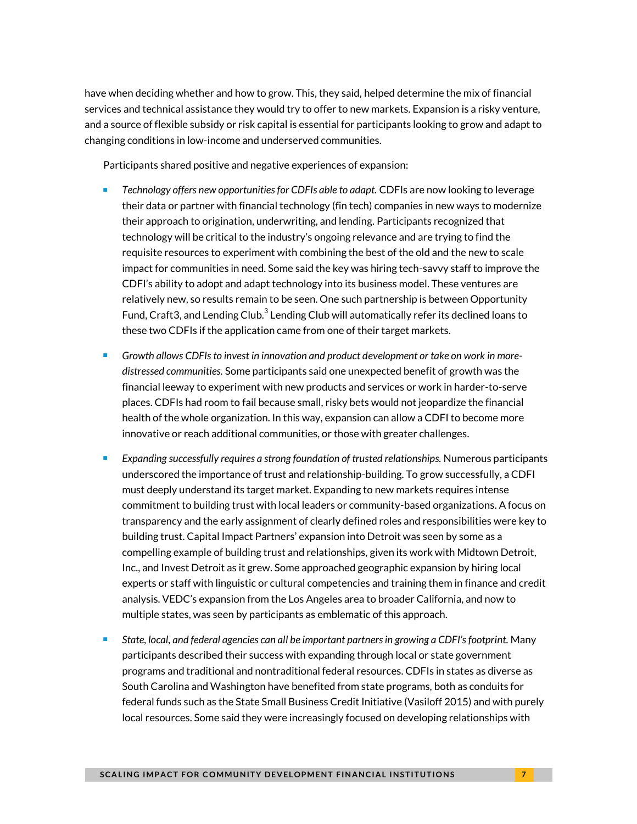have when deciding whether and how to grow. This, they said, helped determine the mix of financial services and technical assistance they would try to offer to new markets. Expansion is a risky venture, and a source of flexible subsidy or risk capital is essential for participants looking to grow and adapt to changing conditions in low-income and underserved communities.

Participants shared positive and negative experiences of expansion:

- *Technology offers new opportunities for CDFIs able to adapt.* CDFIs are now looking to leverage their data or partner with financial technology (fin tech) companies in new ways to modernize their approach to origination, underwriting, and lending. Participants recognized that technology will be critical to the industry's ongoing relevance and are trying to find the requisite resources to experiment with combining the best of the old and the new to scale impact for communities in need. Some said the key was hiring tech-savvy staff to improve the CDFI's ability to adopt and adapt technology into its business model. These ventures are relatively new, so results remain to be seen. One such partnership is between Opportunity Fund, Craft[3](#page-9-2), and Lending Club. $^3$  Lending Club will automatically refer its declined loans to these two CDFIs if the application came from one of their target markets.
- *Growth allows CDFIs to invest in innovation and product development or take on work in moredistressed communities.* Some participants said one unexpected benefit of growth was the financial leeway to experiment with new products and services or work in harder-to-serve places. CDFIs had room to fail because small, risky bets would not jeopardize the financial health of the whole organization. In this way, expansion can allow a CDFI to become more innovative or reach additional communities, or those with greater challenges.
- *Expanding successfully requires a strong foundation of trusted relationships.* Numerous participants underscored the importance of trust and relationship-building. To grow successfully, a CDFI must deeply understand its target market. Expanding to new markets requires intense commitment to building trust with local leaders or community-based organizations. A focus on transparency and the early assignment of clearly defined roles and responsibilities were key to building trust. Capital Impact Partners' expansion into Detroit was seen by some as a compelling example of building trust and relationships, given its work with Midtown Detroit, Inc., and Invest Detroit as it grew. Some approached geographic expansion by hiring local experts or staff with linguistic or cultural competencies and training them in finance and credit analysis. VEDC's expansion from the Los Angeles area to broader California, and now to multiple states, was seen by participants as emblematic of this approach.
- *State, local, and federal agencies can all be important partners in growing a CDFI's footprint.* Many participants described their success with expanding through local or state government programs and traditional and nontraditional federal resources. CDFIs in states as diverse as South Carolina and Washington have benefited from state programs, both as conduits for federal funds such as the State Small Business Credit Initiative (Vasiloff 2015) and with purely local resources. Some said they were increasingly focused on developing relationships with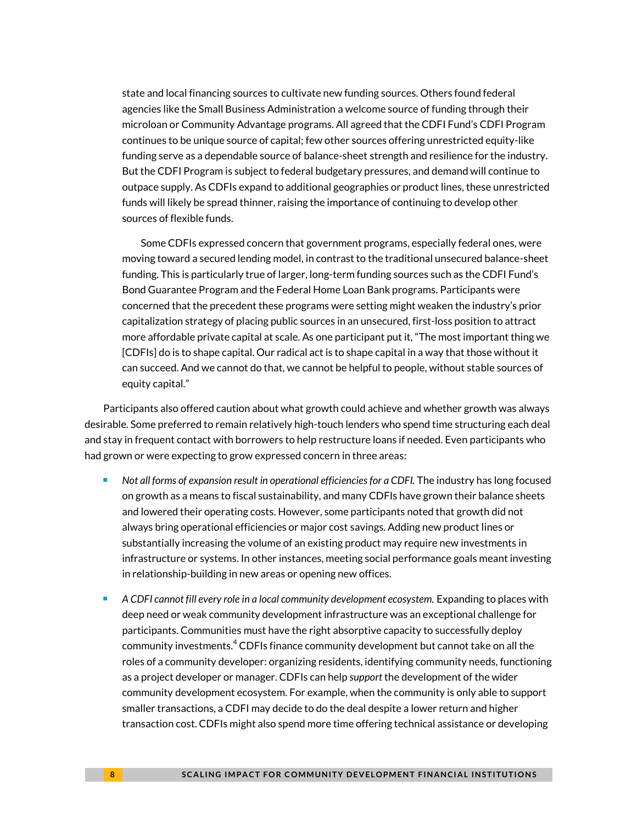state and local financing sources to cultivate new funding sources. Others found federal agencies like the Small Business Administration a welcome source of funding through their microloan or Community Advantage programs. All agreed that the CDFI Fund's CDFI Program continues to be unique source of capital; few other sources offering unrestricted equity-like funding serve as a dependable source of balance-sheet strength and resilience for the industry. But the CDFI Program is subject to federal budgetary pressures, and demand will continue to outpace supply. As CDFIs expand to additional geographies or product lines, these unrestricted funds will likely be spread thinner, raising the importance of continuing to develop other sources of flexible funds.

Some CDFIs expressed concern that government programs, especially federal ones, were moving toward a secured lending model, in contrast to the traditional unsecured balance-sheet funding. This is particularly true of larger, long-term funding sources such as the CDFI Fund's Bond Guarantee Program and the Federal Home Loan Bank programs. Participants were concerned that the precedent these programs were setting might weaken the industry's prior capitalization strategy of placing public sources in an unsecured, first-loss position to attract more affordable private capital at scale. As one participant put it, "The most important thing we [CDFIs] do is to shape capital. Our radical act is to shape capital in a way that those without it can succeed. And we cannot do that, we cannot be helpful to people, without stable sources of equity capital."

Participants also offered caution about what growth could achieve and whether growth was always desirable. Some preferred to remain relatively high-touch lenders who spend time structuring each deal and stay in frequent contact with borrowers to help restructure loans if needed. Even participants who had grown or were expecting to grow expressed concern in three areas:

- *Not all forms of expansion result in operational efficiencies for a CDFI.* The industry has long focused on growth as a means to fiscal sustainability, and many CDFIs have grown their balance sheets and lowered their operating costs. However, some participants noted that growth did not always bring operational efficiencies or major cost savings. Adding new product lines or substantially increasing the volume of an existing product may require new investments in infrastructure or systems. In other instances, meeting social performance goals meant investing in relationship-building in new areas or opening new offices.
- *A CDFI cannot fill every role in a local community development ecosystem.* Expanding to places with deep need or weak community development infrastructure was an exceptional challenge for participants. Communities must have the right absorptive capacity to successfully deploy community investments.<sup>[4](#page-9-3)</sup> CDFIs finance community development but cannot take on all the roles of a community developer: organizing residents, identifying community needs, functioning as a project developer or manager. CDFIs can help *support* the development of the wider community development ecosystem. For example, when the community is only able to support smaller transactions, a CDFI may decide to do the deal despite a lower return and higher transaction cost. CDFIs might also spend more time offering technical assistance or developing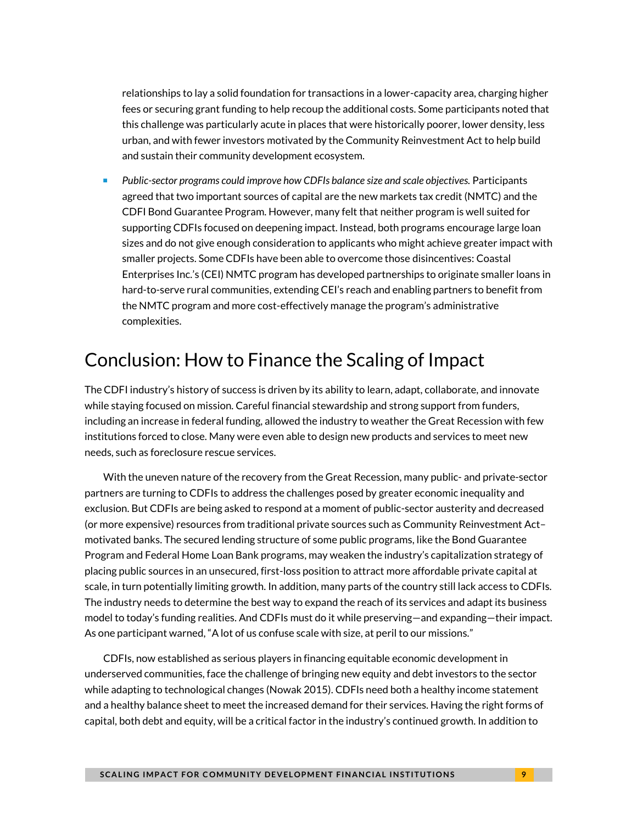relationships to lay a solid foundation for transactions in a lower-capacity area, charging higher fees or securing grant funding to help recoup the additional costs. Some participants noted that this challenge was particularly acute in places that were historically poorer, lower density, less urban, and with fewer investors motivated by the Community Reinvestment Act to help build and sustain their community development ecosystem.

 *Public-sector programs could improve how CDFIs balance size and scale objectives.* Participants agreed that two important sources of capital are the new markets tax credit (NMTC) and the CDFI Bond Guarantee Program. However, many felt that neither program is well suited for supporting CDFIs focused on deepening impact. Instead, both programs encourage large loan sizes and do not give enough consideration to applicants who might achieve greater impact with smaller projects. Some CDFIs have been able to overcome those disincentives: Coastal Enterprises Inc.'s (CEI) NMTC program has developed partnerships to originate smaller loans in hard-to-serve rural communities, extending CEI's reach and enabling partners to benefit from the NMTC program and more cost-effectively manage the program's administrative complexities.

### Conclusion: How to Finance the Scaling of Impact

The CDFI industry's history of success is driven by its ability to learn, adapt, collaborate, and innovate while staying focused on mission. Careful financial stewardship and strong support from funders, including an increase in federal funding, allowed the industry to weather the Great Recession with few institutions forced to close. Many were even able to design new products and services to meet new needs, such as foreclosure rescue services.

With the uneven nature of the recovery from the Great Recession, many public- and private-sector partners are turning to CDFIs to address the challenges posed by greater economic inequality and exclusion. But CDFIs are being asked to respond at a moment of public-sector austerity and decreased (or more expensive) resources from traditional private sources such as Community Reinvestment Act– motivated banks. The secured lending structure of some public programs, like the Bond Guarantee Program and Federal Home Loan Bank programs, may weaken the industry's capitalization strategy of placing public sources in an unsecured, first-loss position to attract more affordable private capital at scale, in turn potentially limiting growth. In addition, many parts of the country still lack access to CDFIs. The industry needs to determine the best way to expand the reach of its services and adapt its business model to today's funding realities. And CDFIs must do it while preserving—and expanding—their impact. As one participant warned, "A lot of us confuse scale with size, at peril to our missions."

CDFIs, now established as serious players in financing equitable economic development in underserved communities, face the challenge of bringing new equity and debt investors to the sector while adapting to technological changes (Nowak 2015). CDFIs need both a healthy income statement and a healthy balance sheet to meet the increased demand for their services. Having the right forms of capital, both debt and equity, will be a critical factor in the industry's continued growth. In addition to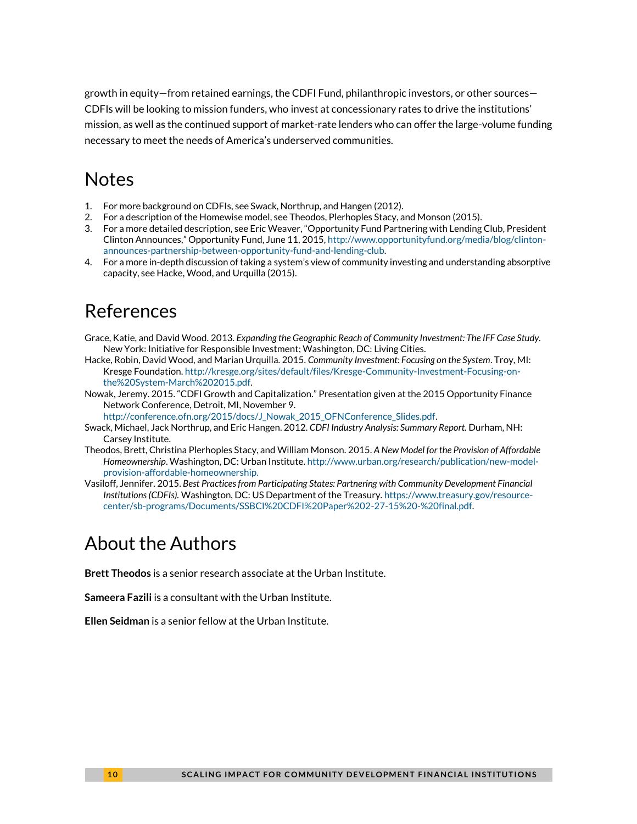growth in equity—from retained earnings, the CDFI Fund, philanthropic investors, or other sources— CDFIs will be looking to mission funders, who invest at concessionary rates to drive the institutions' mission, as well as the continued support of market-rate lenders who can offer the large-volume funding necessary to meet the needs of America's underserved communities.

#### **Notes**

- <span id="page-9-0"></span>1. For more background on CDFIs, see Swack, Northrup, and Hangen (2012).
- <span id="page-9-1"></span>2. For a description of the Homewise model, see Theodos, Plerhoples Stacy, and Monson (2015).
- <span id="page-9-2"></span>3. For a more detailed description, see Eric Weaver, "Opportunity Fund Partnering with Lending Club, President Clinton Announces," Opportunity Fund, June 11, 2015, [http://www.opportunityfund.org/media/blog/clinton](http://www.opportunityfund.org/media/blog/clinton-announces-partnership-between-opportunity-fund-and-lending-club)[announces-partnership-between-opportunity-fund-and-lending-club.](http://www.opportunityfund.org/media/blog/clinton-announces-partnership-between-opportunity-fund-and-lending-club)
- <span id="page-9-3"></span>4. For a more in-depth discussion of taking a system's view of community investing and understanding absorptive capacity, see Hacke, Wood, and Urquilla (2015).

## References

- Grace, Katie, and David Wood. 2013. *Expanding the Geographic Reach of Community Investment: The IFF Case Study.* New York: Initiative for Responsible Investment; Washington, DC: Living Cities.
- Hacke, Robin, David Wood, and Marian Urquilla. 2015. *Community Investment: Focusing on the System*. Troy, MI: Kresge Foundation[. http://kresge.org/sites/default/files/Kresge-Community-Investment-Focusing-on](http://kresge.org/sites/default/files/Kresge-Community-Investment-Focusing-on-the%20System-March%202015.pdf)[the%20System-March%202015.pdf.](http://kresge.org/sites/default/files/Kresge-Community-Investment-Focusing-on-the%20System-March%202015.pdf)
- Nowak, Jeremy. 2015. "CDFI Growth and Capitalization." Presentation given at the 2015 Opportunity Finance Network Conference, Detroit, MI, November 9.

[http://conference.ofn.org/2015/docs/J\\_Nowak\\_2015\\_OFNConference\\_Slides.pdf.](http://conference.ofn.org/2015/docs/J_Nowak_2015_OFNConference_Slides.pdf)

- Swack, Michael, Jack Northrup, and Eric Hangen. 2012. *CDFI Industry Analysis: Summary Report.* Durham, NH: Carsey Institute.
- Theodos, Brett, Christina Plerhoples Stacy, and William Monson. 2015. *A New Model for the Provision of Affordable Homeownership*. Washington, DC: Urban Institute[. http://www.urban.org/research/publication/new-model](http://www.urban.org/research/publication/new-model-provision-affordable-homeownership)[provision-affordable-homeownership.](http://www.urban.org/research/publication/new-model-provision-affordable-homeownership)
- Vasiloff, Jennifer. 2015. *Best Practices from Participating States: Partnering with Community Development Financial Institutions (CDFIs).* Washington, DC: US Department of the Treasury[. https://www.treasury.gov/resource](https://www.treasury.gov/resource-center/sb-programs/Documents/SSBCI%20CDFI%20Paper%202-27-15%20-%20final.pdf)[center/sb-programs/Documents/SSBCI%20CDFI%20Paper%202-27-15%20-%20final.pdf.](https://www.treasury.gov/resource-center/sb-programs/Documents/SSBCI%20CDFI%20Paper%202-27-15%20-%20final.pdf)

### About the Authors

**Brett Theodos** is a senior research associate at the Urban Institute.

**Sameera Fazili** is a consultant with the Urban Institute.

**Ellen Seidman** is a senior fellow at the Urban Institute.